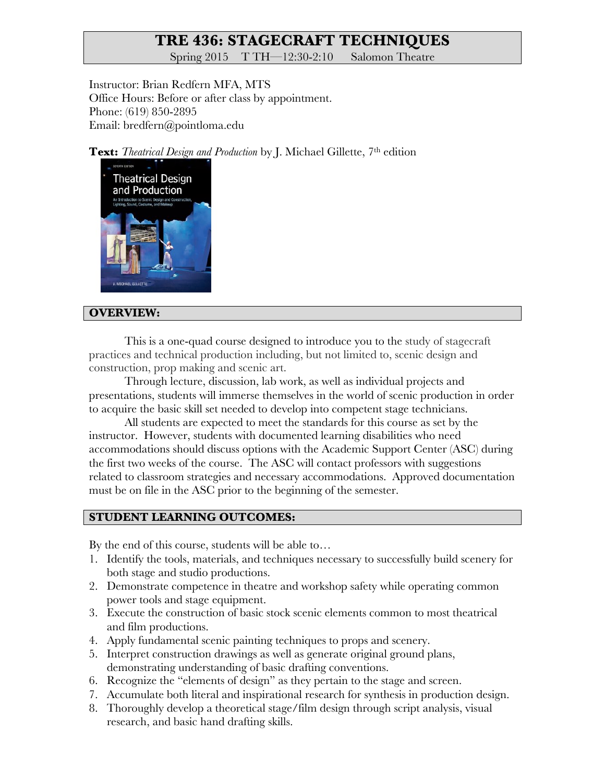# **TRE 436: STAGECRAFT TECHNIQUES**

Spring 2015 T TH—12:30-2:10 Salomon Theatre

Instructor: Brian Redfern MFA, MTS Office Hours: Before or after class by appointment. Phone: (619) 850-2895 Email: bredfern@pointloma.edu

**Text:** *Theatrical Design and Production* by J. Michael Gillette, 7<sup>th</sup> edition



#### **OVERVIEW:**

This is a one-quad course designed to introduce you to the study of stagecraft practices and technical production including, but not limited to, scenic design and construction, prop making and scenic art.

Through lecture, discussion, lab work, as well as individual projects and presentations, students will immerse themselves in the world of scenic production in order to acquire the basic skill set needed to develop into competent stage technicians.

All students are expected to meet the standards for this course as set by the instructor. However, students with documented learning disabilities who need accommodations should discuss options with the Academic Support Center (ASC) during the first two weeks of the course. The ASC will contact professors with suggestions related to classroom strategies and necessary accommodations. Approved documentation must be on file in the ASC prior to the beginning of the semester.

## **STUDENT LEARNING OUTCOMES:**

By the end of this course, students will be able to…

- 1. Identify the tools, materials, and techniques necessary to successfully build scenery for both stage and studio productions.
- 2. Demonstrate competence in theatre and workshop safety while operating common power tools and stage equipment.
- 3. Execute the construction of basic stock scenic elements common to most theatrical and film productions.
- 4. Apply fundamental scenic painting techniques to props and scenery.
- 5. Interpret construction drawings as well as generate original ground plans, demonstrating understanding of basic drafting conventions.
- 6. Recognize the "elements of design" as they pertain to the stage and screen.
- 7. Accumulate both literal and inspirational research for synthesis in production design.
- 8. Thoroughly develop a theoretical stage/film design through script analysis, visual research, and basic hand drafting skills.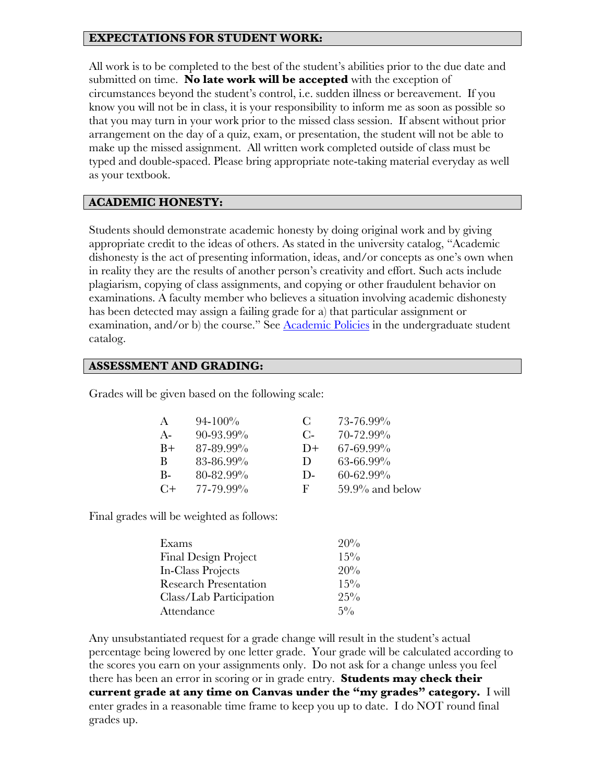## **EXPECTATIONS FOR STUDENT WORK:**

All work is to be completed to the best of the student's abilities prior to the due date and submitted on time. **No late work will be accepted** with the exception of circumstances beyond the student's control, i.e. sudden illness or bereavement. If you know you will not be in class, it is your responsibility to inform me as soon as possible so that you may turn in your work prior to the missed class session. If absent without prior arrangement on the day of a quiz, exam, or presentation, the student will not be able to make up the missed assignment. All written work completed outside of class must be typed and double-spaced. Please bring appropriate note-taking material everyday as well as your textbook.

#### **ACADEMIC HONESTY:**

Students should demonstrate academic honesty by doing original work and by giving appropriate credit to the ideas of others. As stated in the university catalog, "Academic dishonesty is the act of presenting information, ideas, and/or concepts as one's own when in reality they are the results of another person's creativity and effort. Such acts include plagiarism, copying of class assignments, and copying or other fraudulent behavior on examinations. A faculty member who believes a situation involving academic dishonesty has been detected may assign a failing grade for a) that particular assignment or examination, and/or b) the course." See Academic Policies in the undergraduate student catalog.

#### **ASSESSMENT AND GRADING:**

Grades will be given based on the following scale:

| A     | $94 - 100\%$   | $\mathbf{C}$ | 73-76.99%          |
|-------|----------------|--------------|--------------------|
| A-    | $90 - 93.99\%$ | $C$ -        | 70-72.99%          |
| $B+$  | 87-89.99%      | $D+$         | 67-69.99%          |
| B     | 83-86.99%      | $\mathbf{D}$ | 63-66.99%          |
| $B -$ | $80 - 82.99\%$ | D-           | $60 - 62.99\%$     |
| $C+$  | 77-79.99%      | F            | $59.9\%$ and below |

Final grades will be weighted as follows:

| Exams                        | 20%    |
|------------------------------|--------|
| <b>Final Design Project</b>  | $15\%$ |
| In-Class Projects            | 20%    |
| <b>Research Presentation</b> | $15\%$ |
| Class/Lab Participation      | $25\%$ |
| Attendance                   | $5\%$  |

Any unsubstantiated request for a grade change will result in the student's actual percentage being lowered by one letter grade. Your grade will be calculated according to the scores you earn on your assignments only. Do not ask for a change unless you feel there has been an error in scoring or in grade entry. **Students may check their current grade at any time on Canvas under the "my grades" category.** I will enter grades in a reasonable time frame to keep you up to date. I do NOT round final grades up.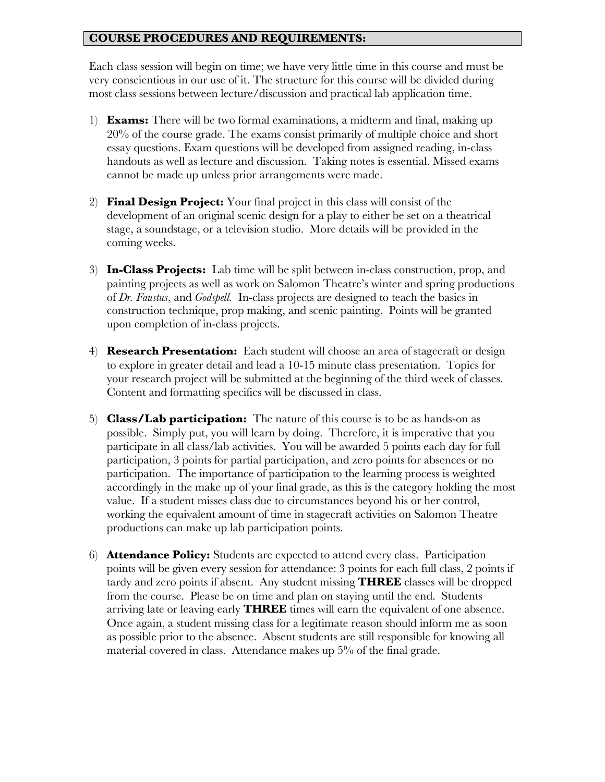## **COURSE PROCEDURES AND REQUIREMENTS:**

Each class session will begin on time; we have very little time in this course and must be very conscientious in our use of it. The structure for this course will be divided during most class sessions between lecture/discussion and practical lab application time.

- 1) **Exams:** There will be two formal examinations, a midterm and final, making up 20% of the course grade. The exams consist primarily of multiple choice and short essay questions. Exam questions will be developed from assigned reading, in-class handouts as well as lecture and discussion. Taking notes is essential. Missed exams cannot be made up unless prior arrangements were made.
- 2) **Final Design Project:** Your final project in this class will consist of the development of an original scenic design for a play to either be set on a theatrical stage, a soundstage, or a television studio. More details will be provided in the coming weeks.
- 3) **In-Class Projects:** Lab time will be split between in-class construction, prop, and painting projects as well as work on Salomon Theatre's winter and spring productions of *Dr. Faustus*, and *Godspell.* In-class projects are designed to teach the basics in construction technique, prop making, and scenic painting. Points will be granted upon completion of in-class projects.
- 4) **Research Presentation:** Each student will choose an area of stagecraft or design to explore in greater detail and lead a 10-15 minute class presentation. Topics for your research project will be submitted at the beginning of the third week of classes. Content and formatting specifics will be discussed in class.
- 5) **Class/Lab participation:** The nature of this course is to be as hands-on as possible. Simply put, you will learn by doing. Therefore, it is imperative that you participate in all class/lab activities. You will be awarded 5 points each day for full participation, 3 points for partial participation, and zero points for absences or no participation. The importance of participation to the learning process is weighted accordingly in the make up of your final grade, as this is the category holding the most value. If a student misses class due to circumstances beyond his or her control, working the equivalent amount of time in stagecraft activities on Salomon Theatre productions can make up lab participation points.
- 6) **Attendance Policy:** Students are expected to attend every class. Participation points will be given every session for attendance: 3 points for each full class, 2 points if tardy and zero points if absent. Any student missing **THREE** classes will be dropped from the course. Please be on time and plan on staying until the end. Students arriving late or leaving early **THREE** times will earn the equivalent of one absence. Once again, a student missing class for a legitimate reason should inform me as soon as possible prior to the absence. Absent students are still responsible for knowing all material covered in class. Attendance makes up 5% of the final grade.